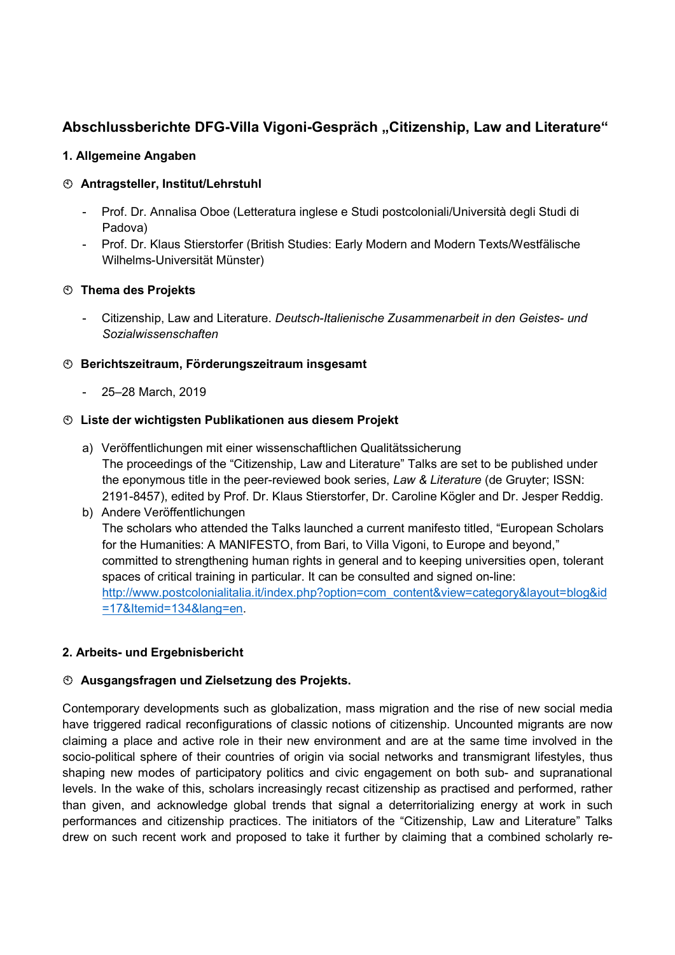# Abschlussberichte DFG-Villa Vigoni-Gespräch "Citizenship, Law and Literature"

### 1. Allgemeine Angaben

# Antragsteller, Institut/Lehrstuhl

- Prof. Dr. Annalisa Oboe (Letteratura inglese e Studi postcoloniali/Università degli Studi di Padova)
- Prof. Dr. Klaus Stierstorfer (British Studies: Early Modern and Modern Texts/Westfälische Wilhelms-Universität Münster)

# **<b>Thema des Projekts**

- Citizenship, Law and Literature. Deutsch-Italienische Zusammenarbeit in den Geistes- und Sozialwissenschaften

# Berichtszeitraum, Förderungszeitraum insgesamt

- 25–28 March, 2019

# Liste der wichtigsten Publikationen aus diesem Projekt

a) Veröffentlichungen mit einer wissenschaftlichen Qualitätssicherung The proceedings of the "Citizenship, Law and Literature" Talks are set to be published under the eponymous title in the peer-reviewed book series, Law & Literature (de Gruyter; ISSN: 2191-8457), edited by Prof. Dr. Klaus Stierstorfer, Dr. Caroline Kögler and Dr. Jesper Reddig.

# b) Andere Veröffentlichungen The scholars who attended the Talks launched a current manifesto titled, "European Scholars for the Humanities: A MANIFESTO, from Bari, to Villa Vigoni, to Europe and beyond," committed to strengthening human rights in general and to keeping universities open, tolerant spaces of critical training in particular. It can be consulted and signed on-line: http://www.postcolonialitalia.it/index.php?option=com\_content&view=category&layout=blog&id =17&Itemid=134&lang=en.

# 2. Arbeits- und Ergebnisbericht

# Ausgangsfragen und Zielsetzung des Projekts.

Contemporary developments such as globalization, mass migration and the rise of new social media have triggered radical reconfigurations of classic notions of citizenship. Uncounted migrants are now claiming a place and active role in their new environment and are at the same time involved in the socio-political sphere of their countries of origin via social networks and transmigrant lifestyles, thus shaping new modes of participatory politics and civic engagement on both sub- and supranational levels. In the wake of this, scholars increasingly recast citizenship as practised and performed, rather than given, and acknowledge global trends that signal a deterritorializing energy at work in such performances and citizenship practices. The initiators of the "Citizenship, Law and Literature" Talks drew on such recent work and proposed to take it further by claiming that a combined scholarly re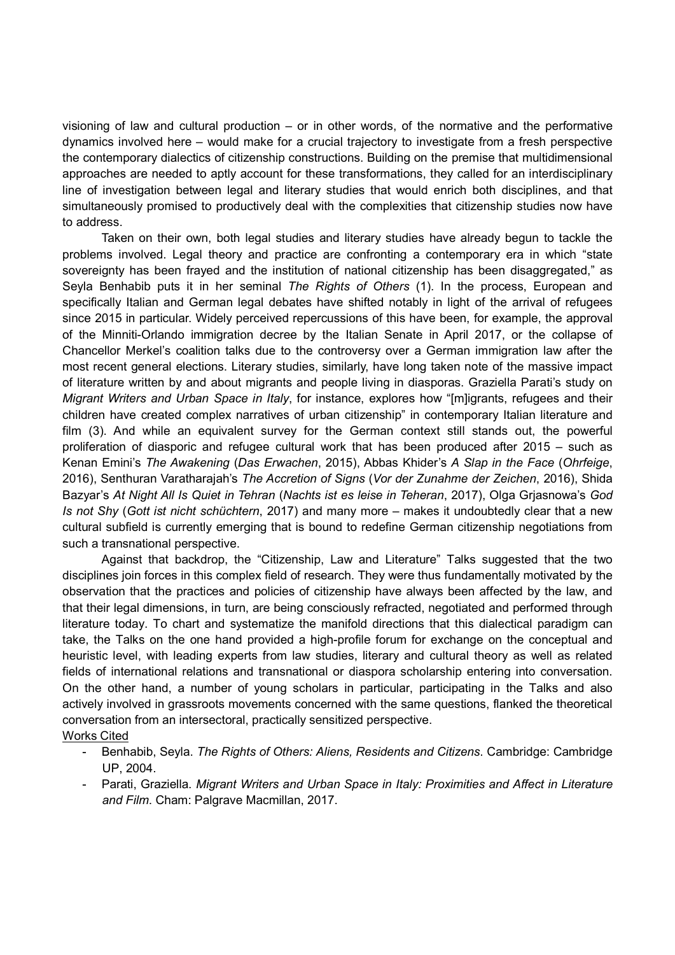visioning of law and cultural production – or in other words, of the normative and the performative dynamics involved here – would make for a crucial trajectory to investigate from a fresh perspective the contemporary dialectics of citizenship constructions. Building on the premise that multidimensional approaches are needed to aptly account for these transformations, they called for an interdisciplinary line of investigation between legal and literary studies that would enrich both disciplines, and that simultaneously promised to productively deal with the complexities that citizenship studies now have to address.

Taken on their own, both legal studies and literary studies have already begun to tackle the problems involved. Legal theory and practice are confronting a contemporary era in which "state sovereignty has been frayed and the institution of national citizenship has been disaggregated," as Seyla Benhabib puts it in her seminal The Rights of Others (1). In the process, European and specifically Italian and German legal debates have shifted notably in light of the arrival of refugees since 2015 in particular. Widely perceived repercussions of this have been, for example, the approval of the Minniti-Orlando immigration decree by the Italian Senate in April 2017, or the collapse of Chancellor Merkel's coalition talks due to the controversy over a German immigration law after the most recent general elections. Literary studies, similarly, have long taken note of the massive impact of literature written by and about migrants and people living in diasporas. Graziella Parati's study on Migrant Writers and Urban Space in Italy, for instance, explores how "[m]igrants, refugees and their children have created complex narratives of urban citizenship" in contemporary Italian literature and film (3). And while an equivalent survey for the German context still stands out, the powerful proliferation of diasporic and refugee cultural work that has been produced after 2015 – such as Kenan Emini's The Awakening (Das Erwachen, 2015), Abbas Khider's A Slap in the Face (Ohrfeige, 2016), Senthuran Varatharajah's The Accretion of Signs (Vor der Zunahme der Zeichen, 2016), Shida Bazyar's At Night All Is Quiet in Tehran (Nachts ist es leise in Teheran, 2017), Olga Grjasnowa's God Is not Shy (Gott ist nicht schüchtern, 2017) and many more – makes it undoubtedly clear that a new cultural subfield is currently emerging that is bound to redefine German citizenship negotiations from such a transnational perspective.

Against that backdrop, the "Citizenship, Law and Literature" Talks suggested that the two disciplines join forces in this complex field of research. They were thus fundamentally motivated by the observation that the practices and policies of citizenship have always been affected by the law, and that their legal dimensions, in turn, are being consciously refracted, negotiated and performed through literature today. To chart and systematize the manifold directions that this dialectical paradigm can take, the Talks on the one hand provided a high-profile forum for exchange on the conceptual and heuristic level, with leading experts from law studies, literary and cultural theory as well as related fields of international relations and transnational or diaspora scholarship entering into conversation. On the other hand, a number of young scholars in particular, participating in the Talks and also actively involved in grassroots movements concerned with the same questions, flanked the theoretical conversation from an intersectoral, practically sensitized perspective.

- Works Cited
	- Benhabib, Seyla. The Rights of Others: Aliens, Residents and Citizens, Cambridge: Cambridge UP, 2004.
	- Parati, Graziella. Migrant Writers and Urban Space in Italy: Proximities and Affect in Literature and Film. Cham: Palgrave Macmillan, 2017.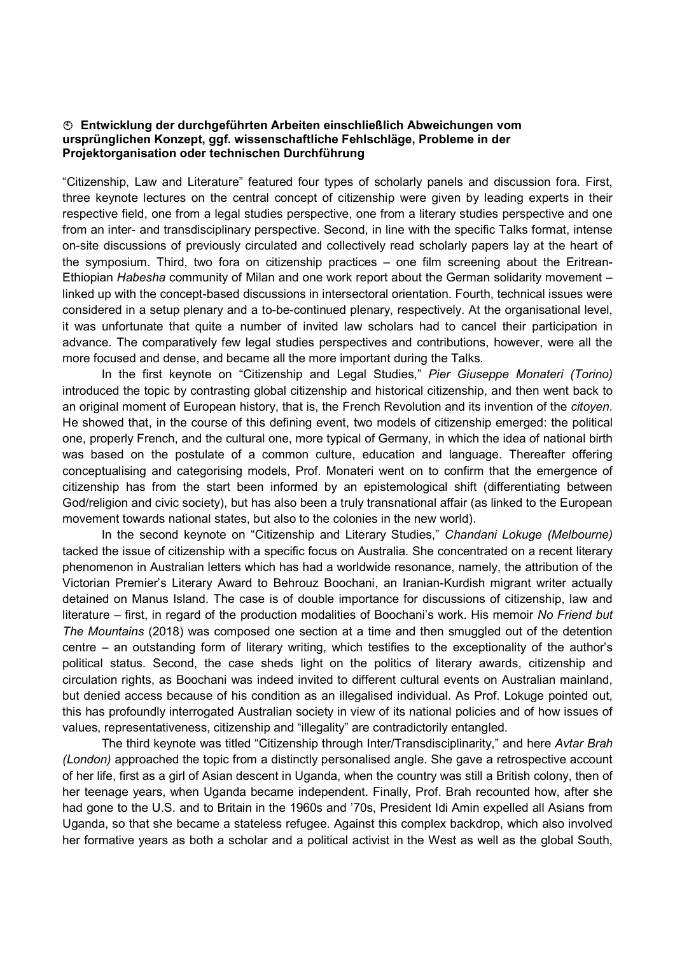#### Entwicklung der durchgeführten Arbeiten einschließlich Abweichungen vom ursprünglichen Konzept, ggf. wissenschaftliche Fehlschläge, Probleme in der Projektorganisation oder technischen Durchführung

"Citizenship, Law and Literature" featured four types of scholarly panels and discussion fora. First, three keynote lectures on the central concept of citizenship were given by leading experts in their respective field, one from a legal studies perspective, one from a literary studies perspective and one from an inter- and transdisciplinary perspective. Second, in line with the specific Talks format, intense on-site discussions of previously circulated and collectively read scholarly papers lay at the heart of the symposium. Third, two fora on citizenship practices – one film screening about the Eritrean-Ethiopian Habesha community of Milan and one work report about the German solidarity movement – linked up with the concept-based discussions in intersectoral orientation. Fourth, technical issues were considered in a setup plenary and a to-be-continued plenary, respectively. At the organisational level, it was unfortunate that quite a number of invited law scholars had to cancel their participation in advance. The comparatively few legal studies perspectives and contributions, however, were all the more focused and dense, and became all the more important during the Talks.

In the first keynote on "Citizenship and Legal Studies," Pier Giuseppe Monateri (Torino) introduced the topic by contrasting global citizenship and historical citizenship, and then went back to an original moment of European history, that is, the French Revolution and its invention of the *citoyen*. He showed that, in the course of this defining event, two models of citizenship emerged: the political one, properly French, and the cultural one, more typical of Germany, in which the idea of national birth was based on the postulate of a common culture, education and language. Thereafter offering conceptualising and categorising models, Prof. Monateri went on to confirm that the emergence of citizenship has from the start been informed by an epistemological shift (differentiating between God/religion and civic society), but has also been a truly transnational affair (as linked to the European movement towards national states, but also to the colonies in the new world).

In the second keynote on "Citizenship and Literary Studies," Chandani Lokuge (Melbourne) tacked the issue of citizenship with a specific focus on Australia. She concentrated on a recent literary phenomenon in Australian letters which has had a worldwide resonance, namely, the attribution of the Victorian Premier's Literary Award to Behrouz Boochani, an Iranian-Kurdish migrant writer actually detained on Manus Island. The case is of double importance for discussions of citizenship, law and literature – first, in regard of the production modalities of Boochani's work. His memoir No Friend but The Mountains (2018) was composed one section at a time and then smuggled out of the detention centre – an outstanding form of literary writing, which testifies to the exceptionality of the author's political status. Second, the case sheds light on the politics of literary awards, citizenship and circulation rights, as Boochani was indeed invited to different cultural events on Australian mainland, but denied access because of his condition as an illegalised individual. As Prof. Lokuge pointed out, this has profoundly interrogated Australian society in view of its national policies and of how issues of values, representativeness, citizenship and "illegality" are contradictorily entangled.

The third keynote was titled "Citizenship through Inter/Transdisciplinarity," and here Avtar Brah (London) approached the topic from a distinctly personalised angle. She gave a retrospective account of her life, first as a girl of Asian descent in Uganda, when the country was still a British colony, then of her teenage years, when Uganda became independent. Finally, Prof. Brah recounted how, after she had gone to the U.S. and to Britain in the 1960s and '70s, President Idi Amin expelled all Asians from Uganda, so that she became a stateless refugee. Against this complex backdrop, which also involved her formative years as both a scholar and a political activist in the West as well as the global South,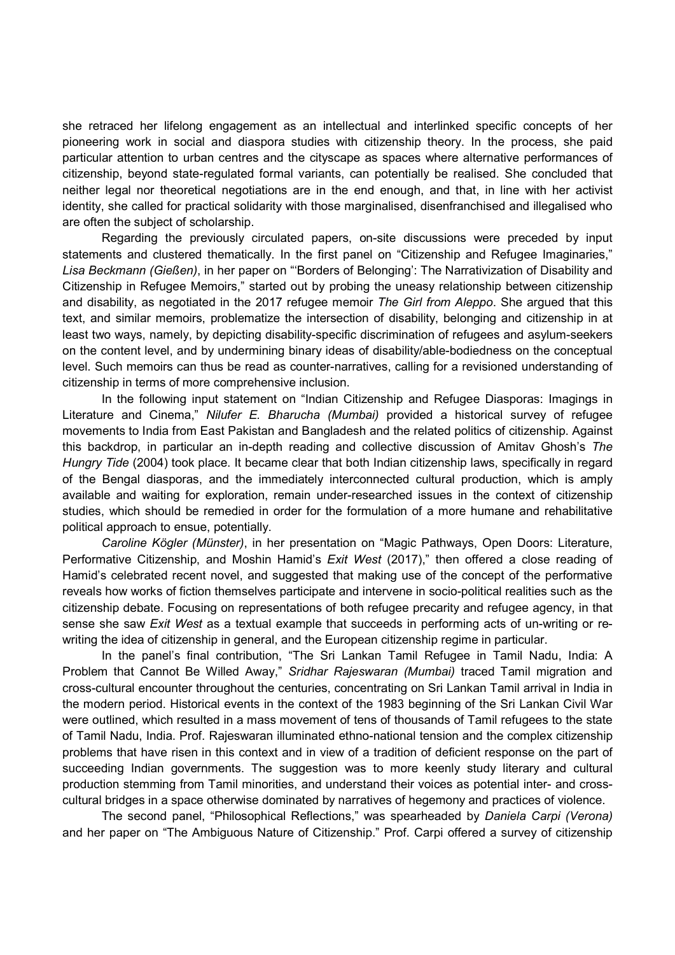she retraced her lifelong engagement as an intellectual and interlinked specific concepts of her pioneering work in social and diaspora studies with citizenship theory. In the process, she paid particular attention to urban centres and the cityscape as spaces where alternative performances of citizenship, beyond state-regulated formal variants, can potentially be realised. She concluded that neither legal nor theoretical negotiations are in the end enough, and that, in line with her activist identity, she called for practical solidarity with those marginalised, disenfranchised and illegalised who are often the subject of scholarship.

 Regarding the previously circulated papers, on-site discussions were preceded by input statements and clustered thematically. In the first panel on "Citizenship and Refugee Imaginaries," Lisa Beckmann (Gießen), in her paper on "'Borders of Belonging': The Narrativization of Disability and Citizenship in Refugee Memoirs," started out by probing the uneasy relationship between citizenship and disability, as negotiated in the 2017 refugee memoir The Girl from Aleppo. She argued that this text, and similar memoirs, problematize the intersection of disability, belonging and citizenship in at least two ways, namely, by depicting disability-specific discrimination of refugees and asylum-seekers on the content level, and by undermining binary ideas of disability/able-bodiedness on the conceptual level. Such memoirs can thus be read as counter-narratives, calling for a revisioned understanding of citizenship in terms of more comprehensive inclusion.

 In the following input statement on "Indian Citizenship and Refugee Diasporas: Imagings in Literature and Cinema," Nilufer E. Bharucha (Mumbai) provided a historical survey of refugee movements to India from East Pakistan and Bangladesh and the related politics of citizenship. Against this backdrop, in particular an in-depth reading and collective discussion of Amitav Ghosh's The Hungry Tide (2004) took place. It became clear that both Indian citizenship laws, specifically in regard of the Bengal diasporas, and the immediately interconnected cultural production, which is amply available and waiting for exploration, remain under-researched issues in the context of citizenship studies, which should be remedied in order for the formulation of a more humane and rehabilitative political approach to ensue, potentially.

Caroline Kögler (Münster), in her presentation on "Magic Pathways, Open Doors: Literature, Performative Citizenship, and Moshin Hamid's *Exit West* (2017)," then offered a close reading of Hamid's celebrated recent novel, and suggested that making use of the concept of the performative reveals how works of fiction themselves participate and intervene in socio-political realities such as the citizenship debate. Focusing on representations of both refugee precarity and refugee agency, in that sense she saw Exit West as a textual example that succeeds in performing acts of un-writing or rewriting the idea of citizenship in general, and the European citizenship regime in particular.

 In the panel's final contribution, "The Sri Lankan Tamil Refugee in Tamil Nadu, India: A Problem that Cannot Be Willed Away," Sridhar Rajeswaran (Mumbai) traced Tamil migration and cross-cultural encounter throughout the centuries, concentrating on Sri Lankan Tamil arrival in India in the modern period. Historical events in the context of the 1983 beginning of the Sri Lankan Civil War were outlined, which resulted in a mass movement of tens of thousands of Tamil refugees to the state of Tamil Nadu, India. Prof. Rajeswaran illuminated ethno-national tension and the complex citizenship problems that have risen in this context and in view of a tradition of deficient response on the part of succeeding Indian governments. The suggestion was to more keenly study literary and cultural production stemming from Tamil minorities, and understand their voices as potential inter- and crosscultural bridges in a space otherwise dominated by narratives of hegemony and practices of violence.

 The second panel, "Philosophical Reflections," was spearheaded by Daniela Carpi (Verona) and her paper on "The Ambiguous Nature of Citizenship." Prof. Carpi offered a survey of citizenship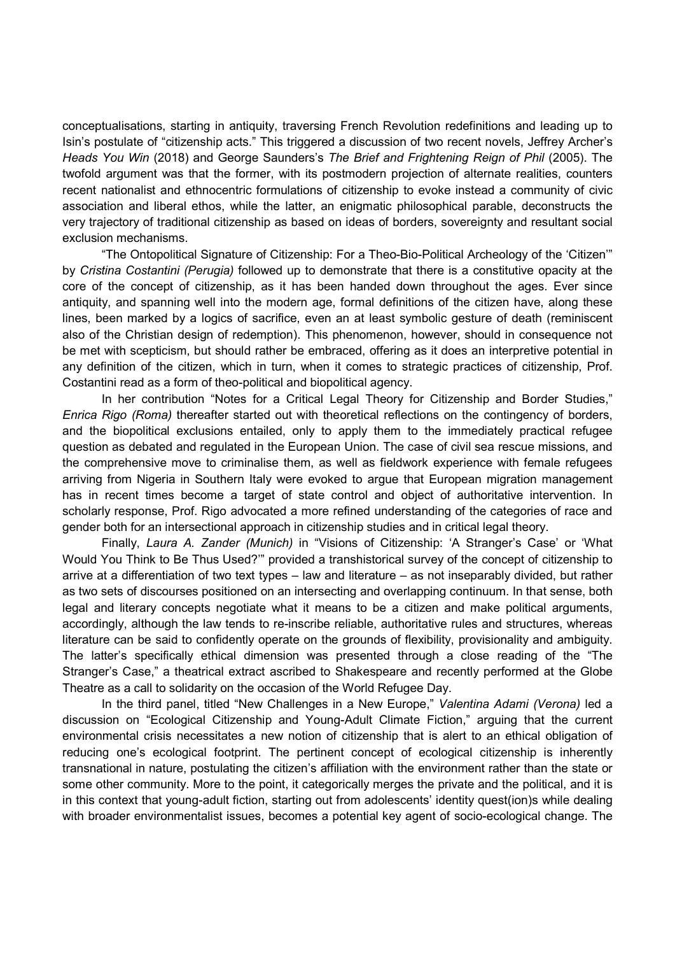conceptualisations, starting in antiquity, traversing French Revolution redefinitions and leading up to Isin's postulate of "citizenship acts." This triggered a discussion of two recent novels, Jeffrey Archer's Heads You Win (2018) and George Saunders's The Brief and Frightening Reign of Phil (2005). The twofold argument was that the former, with its postmodern projection of alternate realities, counters recent nationalist and ethnocentric formulations of citizenship to evoke instead a community of civic association and liberal ethos, while the latter, an enigmatic philosophical parable, deconstructs the very trajectory of traditional citizenship as based on ideas of borders, sovereignty and resultant social exclusion mechanisms.

 "The Ontopolitical Signature of Citizenship: For a Theo-Bio-Political Archeology of the 'Citizen'" by Cristina Costantini (Perugia) followed up to demonstrate that there is a constitutive opacity at the core of the concept of citizenship, as it has been handed down throughout the ages. Ever since antiquity, and spanning well into the modern age, formal definitions of the citizen have, along these lines, been marked by a logics of sacrifice, even an at least symbolic gesture of death (reminiscent also of the Christian design of redemption). This phenomenon, however, should in consequence not be met with scepticism, but should rather be embraced, offering as it does an interpretive potential in any definition of the citizen, which in turn, when it comes to strategic practices of citizenship, Prof. Costantini read as a form of theo-political and biopolitical agency.

 In her contribution "Notes for a Critical Legal Theory for Citizenship and Border Studies," Enrica Rigo (Roma) thereafter started out with theoretical reflections on the contingency of borders, and the biopolitical exclusions entailed, only to apply them to the immediately practical refugee question as debated and regulated in the European Union. The case of civil sea rescue missions, and the comprehensive move to criminalise them, as well as fieldwork experience with female refugees arriving from Nigeria in Southern Italy were evoked to argue that European migration management has in recent times become a target of state control and object of authoritative intervention. In scholarly response, Prof. Rigo advocated a more refined understanding of the categories of race and gender both for an intersectional approach in citizenship studies and in critical legal theory.

 Finally, Laura A. Zander (Munich) in "Visions of Citizenship: 'A Stranger's Case' or 'What Would You Think to Be Thus Used?'" provided a transhistorical survey of the concept of citizenship to arrive at a differentiation of two text types – law and literature – as not inseparably divided, but rather as two sets of discourses positioned on an intersecting and overlapping continuum. In that sense, both legal and literary concepts negotiate what it means to be a citizen and make political arguments, accordingly, although the law tends to re-inscribe reliable, authoritative rules and structures, whereas literature can be said to confidently operate on the grounds of flexibility, provisionality and ambiguity. The latter's specifically ethical dimension was presented through a close reading of the "The Stranger's Case," a theatrical extract ascribed to Shakespeare and recently performed at the Globe Theatre as a call to solidarity on the occasion of the World Refugee Day.

In the third panel, titled "New Challenges in a New Europe," Valentina Adami (Verona) led a discussion on "Ecological Citizenship and Young-Adult Climate Fiction," arguing that the current environmental crisis necessitates a new notion of citizenship that is alert to an ethical obligation of reducing one's ecological footprint. The pertinent concept of ecological citizenship is inherently transnational in nature, postulating the citizen's affiliation with the environment rather than the state or some other community. More to the point, it categorically merges the private and the political, and it is in this context that young-adult fiction, starting out from adolescents' identity quest(ion)s while dealing with broader environmentalist issues, becomes a potential key agent of socio-ecological change. The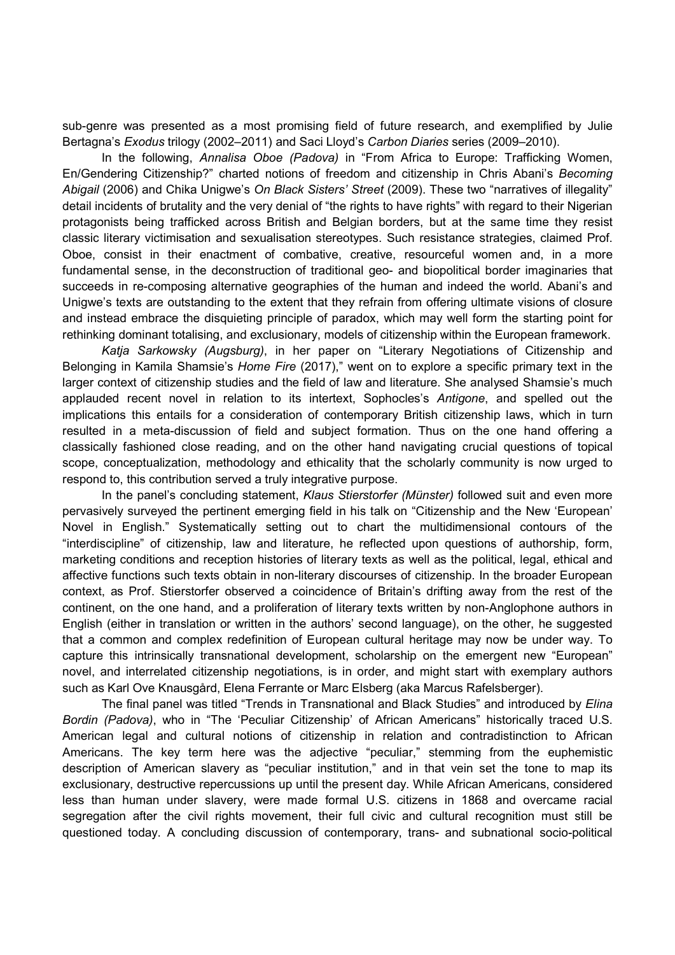sub-genre was presented as a most promising field of future research, and exemplified by Julie Bertagna's Exodus trilogy (2002–2011) and Saci Lloyd's Carbon Diaries series (2009–2010).

In the following, Annalisa Oboe (Padova) in "From Africa to Europe: Trafficking Women, En/Gendering Citizenship?" charted notions of freedom and citizenship in Chris Abani's Becoming Abigail (2006) and Chika Unigwe's On Black Sisters' Street (2009). These two "narratives of illegality" detail incidents of brutality and the very denial of "the rights to have rights" with regard to their Nigerian protagonists being trafficked across British and Belgian borders, but at the same time they resist classic literary victimisation and sexualisation stereotypes. Such resistance strategies, claimed Prof. Oboe, consist in their enactment of combative, creative, resourceful women and, in a more fundamental sense, in the deconstruction of traditional geo- and biopolitical border imaginaries that succeeds in re-composing alternative geographies of the human and indeed the world. Abani's and Unigwe's texts are outstanding to the extent that they refrain from offering ultimate visions of closure and instead embrace the disquieting principle of paradox, which may well form the starting point for rethinking dominant totalising, and exclusionary, models of citizenship within the European framework.

Katja Sarkowsky (Augsburg), in her paper on "Literary Negotiations of Citizenship and Belonging in Kamila Shamsie's Home Fire (2017)," went on to explore a specific primary text in the larger context of citizenship studies and the field of law and literature. She analysed Shamsie's much applauded recent novel in relation to its intertext, Sophocles's Antigone, and spelled out the implications this entails for a consideration of contemporary British citizenship laws, which in turn resulted in a meta-discussion of field and subject formation. Thus on the one hand offering a classically fashioned close reading, and on the other hand navigating crucial questions of topical scope, conceptualization, methodology and ethicality that the scholarly community is now urged to respond to, this contribution served a truly integrative purpose.

In the panel's concluding statement, Klaus Stierstorfer (Münster) followed suit and even more pervasively surveyed the pertinent emerging field in his talk on "Citizenship and the New 'European' Novel in English." Systematically setting out to chart the multidimensional contours of the "interdiscipline" of citizenship, law and literature, he reflected upon questions of authorship, form, marketing conditions and reception histories of literary texts as well as the political, legal, ethical and affective functions such texts obtain in non-literary discourses of citizenship. In the broader European context, as Prof. Stierstorfer observed a coincidence of Britain's drifting away from the rest of the continent, on the one hand, and a proliferation of literary texts written by non-Anglophone authors in English (either in translation or written in the authors' second language), on the other, he suggested that a common and complex redefinition of European cultural heritage may now be under way. To capture this intrinsically transnational development, scholarship on the emergent new "European" novel, and interrelated citizenship negotiations, is in order, and might start with exemplary authors such as Karl Ove Knausgård, Elena Ferrante or Marc Elsberg (aka Marcus Rafelsberger).

The final panel was titled "Trends in Transnational and Black Studies" and introduced by *Elina* Bordin (Padova), who in "The 'Peculiar Citizenship' of African Americans" historically traced U.S. American legal and cultural notions of citizenship in relation and contradistinction to African Americans. The key term here was the adjective "peculiar," stemming from the euphemistic description of American slavery as "peculiar institution," and in that vein set the tone to map its exclusionary, destructive repercussions up until the present day. While African Americans, considered less than human under slavery, were made formal U.S. citizens in 1868 and overcame racial segregation after the civil rights movement, their full civic and cultural recognition must still be questioned today. A concluding discussion of contemporary, trans- and subnational socio-political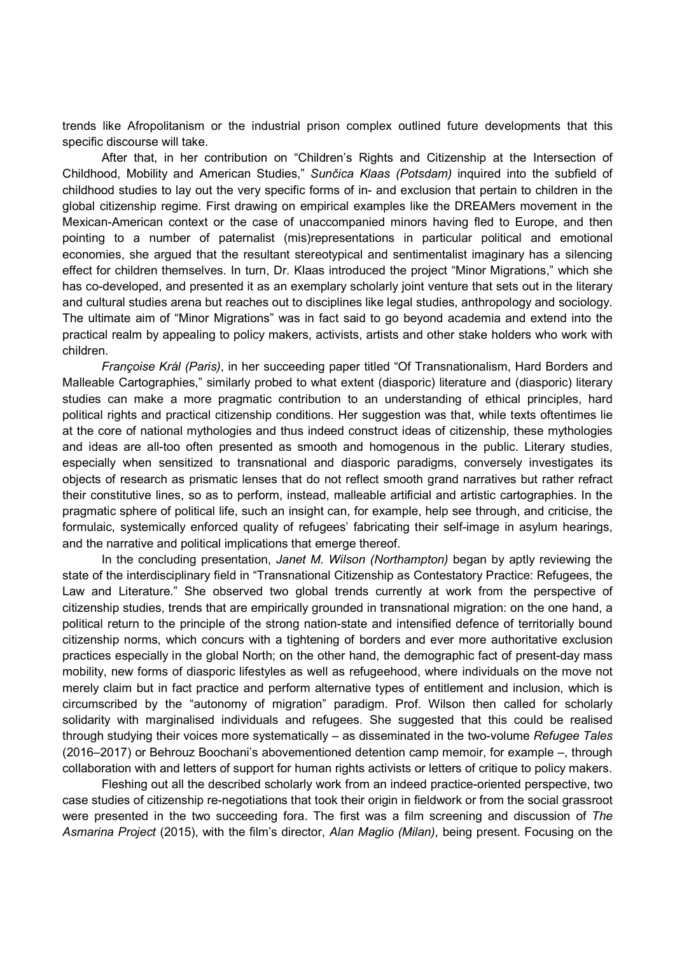trends like Afropolitanism or the industrial prison complex outlined future developments that this specific discourse will take.

 After that, in her contribution on "Children's Rights and Citizenship at the Intersection of Childhood, Mobility and American Studies," Sunčica Klaas (Potsdam) inquired into the subfield of childhood studies to lay out the very specific forms of in- and exclusion that pertain to children in the global citizenship regime. First drawing on empirical examples like the DREAMers movement in the Mexican-American context or the case of unaccompanied minors having fled to Europe, and then pointing to a number of paternalist (mis)representations in particular political and emotional economies, she argued that the resultant stereotypical and sentimentalist imaginary has a silencing effect for children themselves. In turn, Dr. Klaas introduced the project "Minor Migrations," which she has co-developed, and presented it as an exemplary scholarly joint venture that sets out in the literary and cultural studies arena but reaches out to disciplines like legal studies, anthropology and sociology. The ultimate aim of "Minor Migrations" was in fact said to go beyond academia and extend into the practical realm by appealing to policy makers, activists, artists and other stake holders who work with children.

Françoise Král (Paris), in her succeeding paper titled "Of Transnationalism, Hard Borders and Malleable Cartographies," similarly probed to what extent (diasporic) literature and (diasporic) literary studies can make a more pragmatic contribution to an understanding of ethical principles, hard political rights and practical citizenship conditions. Her suggestion was that, while texts oftentimes lie at the core of national mythologies and thus indeed construct ideas of citizenship, these mythologies and ideas are all-too often presented as smooth and homogenous in the public. Literary studies, especially when sensitized to transnational and diasporic paradigms, conversely investigates its objects of research as prismatic lenses that do not reflect smooth grand narratives but rather refract their constitutive lines, so as to perform, instead, malleable artificial and artistic cartographies. In the pragmatic sphere of political life, such an insight can, for example, help see through, and criticise, the formulaic, systemically enforced quality of refugees' fabricating their self-image in asylum hearings, and the narrative and political implications that emerge thereof.

In the concluding presentation, Janet M. Wilson (Northampton) began by aptly reviewing the state of the interdisciplinary field in "Transnational Citizenship as Contestatory Practice: Refugees, the Law and Literature." She observed two global trends currently at work from the perspective of citizenship studies, trends that are empirically grounded in transnational migration: on the one hand, a political return to the principle of the strong nation-state and intensified defence of territorially bound citizenship norms, which concurs with a tightening of borders and ever more authoritative exclusion practices especially in the global North; on the other hand, the demographic fact of present-day mass mobility, new forms of diasporic lifestyles as well as refugeehood, where individuals on the move not merely claim but in fact practice and perform alternative types of entitlement and inclusion, which is circumscribed by the "autonomy of migration" paradigm. Prof. Wilson then called for scholarly solidarity with marginalised individuals and refugees. She suggested that this could be realised through studying their voices more systematically – as disseminated in the two-volume Refugee Tales (2016–2017) or Behrouz Boochani's abovementioned detention camp memoir, for example –, through collaboration with and letters of support for human rights activists or letters of critique to policy makers.

 Fleshing out all the described scholarly work from an indeed practice-oriented perspective, two case studies of citizenship re-negotiations that took their origin in fieldwork or from the social grassroot were presented in the two succeeding fora. The first was a film screening and discussion of The Asmarina Project (2015), with the film's director, Alan Maglio (Milan), being present. Focusing on the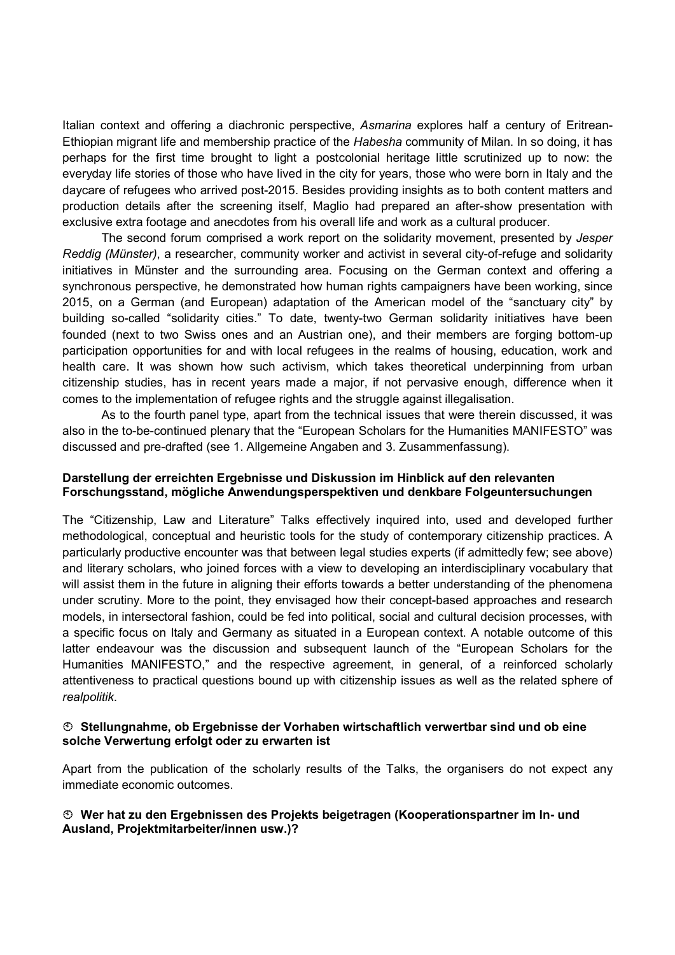Italian context and offering a diachronic perspective, Asmarina explores half a century of Eritrean-Ethiopian migrant life and membership practice of the Habesha community of Milan. In so doing, it has perhaps for the first time brought to light a postcolonial heritage little scrutinized up to now: the everyday life stories of those who have lived in the city for years, those who were born in Italy and the daycare of refugees who arrived post-2015. Besides providing insights as to both content matters and production details after the screening itself, Maglio had prepared an after-show presentation with exclusive extra footage and anecdotes from his overall life and work as a cultural producer.

The second forum comprised a work report on the solidarity movement, presented by Jesper Reddig (Münster), a researcher, community worker and activist in several city-of-refuge and solidarity initiatives in Münster and the surrounding area. Focusing on the German context and offering a synchronous perspective, he demonstrated how human rights campaigners have been working, since 2015, on a German (and European) adaptation of the American model of the "sanctuary city" by building so-called "solidarity cities." To date, twenty-two German solidarity initiatives have been founded (next to two Swiss ones and an Austrian one), and their members are forging bottom-up participation opportunities for and with local refugees in the realms of housing, education, work and health care. It was shown how such activism, which takes theoretical underpinning from urban citizenship studies, has in recent years made a major, if not pervasive enough, difference when it comes to the implementation of refugee rights and the struggle against illegalisation.

As to the fourth panel type, apart from the technical issues that were therein discussed, it was also in the to-be-continued plenary that the "European Scholars for the Humanities MANIFESTO" was discussed and pre-drafted (see 1. Allgemeine Angaben and 3. Zusammenfassung).

### Darstellung der erreichten Ergebnisse und Diskussion im Hinblick auf den relevanten Forschungsstand, mögliche Anwendungsperspektiven und denkbare Folgeuntersuchungen

The "Citizenship, Law and Literature" Talks effectively inquired into, used and developed further methodological, conceptual and heuristic tools for the study of contemporary citizenship practices. A particularly productive encounter was that between legal studies experts (if admittedly few; see above) and literary scholars, who joined forces with a view to developing an interdisciplinary vocabulary that will assist them in the future in aligning their efforts towards a better understanding of the phenomena under scrutiny. More to the point, they envisaged how their concept-based approaches and research models, in intersectoral fashion, could be fed into political, social and cultural decision processes, with a specific focus on Italy and Germany as situated in a European context. A notable outcome of this latter endeavour was the discussion and subsequent launch of the "European Scholars for the Humanities MANIFESTO," and the respective agreement, in general, of a reinforced scholarly attentiveness to practical questions bound up with citizenship issues as well as the related sphere of realpolitik.

### Stellungnahme, ob Ergebnisse der Vorhaben wirtschaftlich verwertbar sind und ob eine solche Verwertung erfolgt oder zu erwarten ist

Apart from the publication of the scholarly results of the Talks, the organisers do not expect any immediate economic outcomes.

### Wer hat zu den Ergebnissen des Projekts beigetragen (Kooperationspartner im In- und Ausland, Projektmitarbeiter/innen usw.)?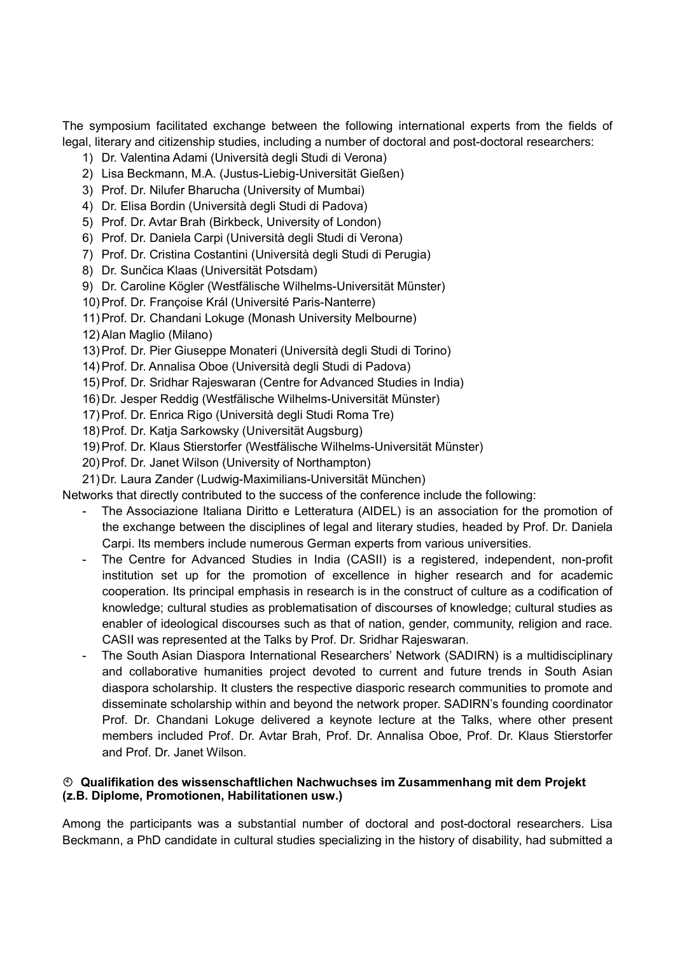The symposium facilitated exchange between the following international experts from the fields of legal, literary and citizenship studies, including a number of doctoral and post-doctoral researchers:

- 1) Dr. Valentina Adami (Università degli Studi di Verona)
- 2) Lisa Beckmann, M.A. (Justus-Liebig-Universität Gießen)
- 3) Prof. Dr. Nilufer Bharucha (University of Mumbai)
- 4) Dr. Elisa Bordin (Università degli Studi di Padova)
- 5) Prof. Dr. Avtar Brah (Birkbeck, University of London)
- 6) Prof. Dr. Daniela Carpi (Università degli Studi di Verona)
- 7) Prof. Dr. Cristina Costantini (Università degli Studi di Perugia)
- 8) Dr. Sunčica Klaas (Universität Potsdam)
- 9) Dr. Caroline Kögler (Westfälische Wilhelms-Universität Münster)
- 10) Prof. Dr. Françoise Král (Université Paris-Nanterre)
- 11) Prof. Dr. Chandani Lokuge (Monash University Melbourne)
- 12) Alan Maglio (Milano)
- 13) Prof. Dr. Pier Giuseppe Monateri (Università degli Studi di Torino)
- 14) Prof. Dr. Annalisa Oboe (Università degli Studi di Padova)
- 15) Prof. Dr. Sridhar Rajeswaran (Centre for Advanced Studies in India)
- 16) Dr. Jesper Reddig (Westfälische Wilhelms-Universität Münster)
- 17) Prof. Dr. Enrica Rigo (Università degli Studi Roma Tre)
- 18) Prof. Dr. Katja Sarkowsky (Universität Augsburg)
- 19) Prof. Dr. Klaus Stierstorfer (Westfälische Wilhelms-Universität Münster)
- 20) Prof. Dr. Janet Wilson (University of Northampton)
- 21) Dr. Laura Zander (Ludwig-Maximilians-Universität München)

Networks that directly contributed to the success of the conference include the following:

- The Associazione Italiana Diritto e Letteratura (AIDEL) is an association for the promotion of the exchange between the disciplines of legal and literary studies, headed by Prof. Dr. Daniela Carpi. Its members include numerous German experts from various universities.
- The Centre for Advanced Studies in India (CASII) is a registered, independent, non-profit institution set up for the promotion of excellence in higher research and for academic cooperation. Its principal emphasis in research is in the construct of culture as a codification of knowledge; cultural studies as problematisation of discourses of knowledge; cultural studies as enabler of ideological discourses such as that of nation, gender, community, religion and race. CASII was represented at the Talks by Prof. Dr. Sridhar Rajeswaran.
- The South Asian Diaspora International Researchers' Network (SADIRN) is a multidisciplinary and collaborative humanities project devoted to current and future trends in South Asian diaspora scholarship. It clusters the respective diasporic research communities to promote and disseminate scholarship within and beyond the network proper. SADIRN's founding coordinator Prof. Dr. Chandani Lokuge delivered a keynote lecture at the Talks, where other present members included Prof. Dr. Avtar Brah, Prof. Dr. Annalisa Oboe, Prof. Dr. Klaus Stierstorfer and Prof. Dr. Janet Wilson.

### Qualifikation des wissenschaftlichen Nachwuchses im Zusammenhang mit dem Projekt (z.B. Diplome, Promotionen, Habilitationen usw.)

Among the participants was a substantial number of doctoral and post-doctoral researchers. Lisa Beckmann, a PhD candidate in cultural studies specializing in the history of disability, had submitted a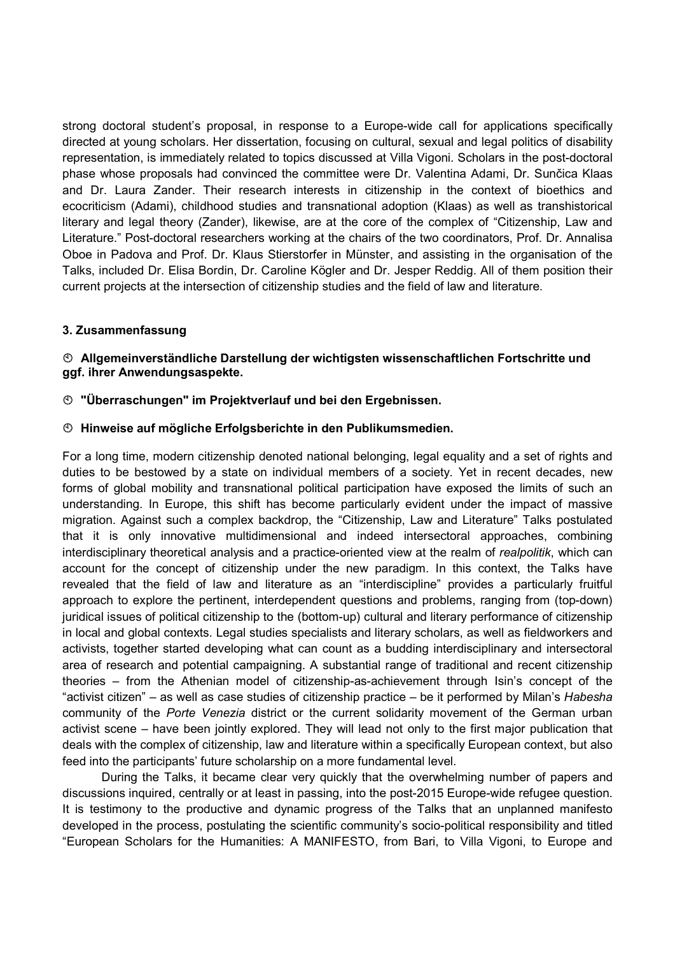strong doctoral student's proposal, in response to a Europe-wide call for applications specifically directed at young scholars. Her dissertation, focusing on cultural, sexual and legal politics of disability representation, is immediately related to topics discussed at Villa Vigoni. Scholars in the post-doctoral phase whose proposals had convinced the committee were Dr. Valentina Adami, Dr. Sunčica Klaas and Dr. Laura Zander. Their research interests in citizenship in the context of bioethics and ecocriticism (Adami), childhood studies and transnational adoption (Klaas) as well as transhistorical literary and legal theory (Zander), likewise, are at the core of the complex of "Citizenship, Law and Literature." Post-doctoral researchers working at the chairs of the two coordinators, Prof. Dr. Annalisa Oboe in Padova and Prof. Dr. Klaus Stierstorfer in Münster, and assisting in the organisation of the Talks, included Dr. Elisa Bordin, Dr. Caroline Kögler and Dr. Jesper Reddig. All of them position their current projects at the intersection of citizenship studies and the field of law and literature.

### 3. Zusammenfassung

### Allgemeinverständliche Darstellung der wichtigsten wissenschaftlichen Fortschritte und ggf. ihrer Anwendungsaspekte.

#### "Überraschungen" im Projektverlauf und bei den Ergebnissen.

#### Hinweise auf mögliche Erfolgsberichte in den Publikumsmedien.

For a long time, modern citizenship denoted national belonging, legal equality and a set of rights and duties to be bestowed by a state on individual members of a society. Yet in recent decades, new forms of global mobility and transnational political participation have exposed the limits of such an understanding. In Europe, this shift has become particularly evident under the impact of massive migration. Against such a complex backdrop, the "Citizenship, Law and Literature" Talks postulated that it is only innovative multidimensional and indeed intersectoral approaches, combining interdisciplinary theoretical analysis and a practice-oriented view at the realm of realpolitik, which can account for the concept of citizenship under the new paradigm. In this context, the Talks have revealed that the field of law and literature as an "interdiscipline" provides a particularly fruitful approach to explore the pertinent, interdependent questions and problems, ranging from (top-down) juridical issues of political citizenship to the (bottom-up) cultural and literary performance of citizenship in local and global contexts. Legal studies specialists and literary scholars, as well as fieldworkers and activists, together started developing what can count as a budding interdisciplinary and intersectoral area of research and potential campaigning. A substantial range of traditional and recent citizenship theories – from the Athenian model of citizenship-as-achievement through Isin's concept of the "activist citizen" – as well as case studies of citizenship practice – be it performed by Milan's Habesha community of the Porte Venezia district or the current solidarity movement of the German urban activist scene – have been jointly explored. They will lead not only to the first major publication that deals with the complex of citizenship, law and literature within a specifically European context, but also feed into the participants' future scholarship on a more fundamental level.

During the Talks, it became clear very quickly that the overwhelming number of papers and discussions inquired, centrally or at least in passing, into the post-2015 Europe-wide refugee question. It is testimony to the productive and dynamic progress of the Talks that an unplanned manifesto developed in the process, postulating the scientific community's socio-political responsibility and titled "European Scholars for the Humanities: A MANIFESTO, from Bari, to Villa Vigoni, to Europe and